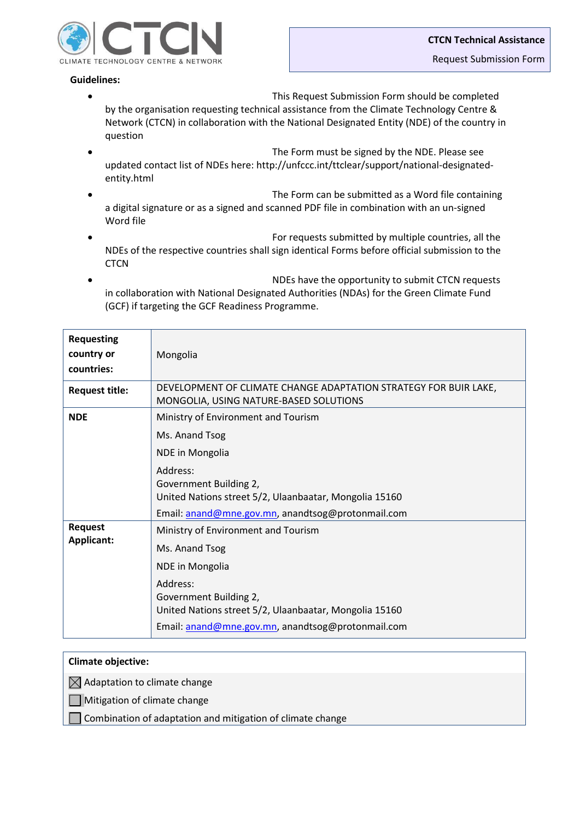

## **Guidelines:**

- This Request Submission Form should be completed by the organisation requesting technical assistance from the Climate Technology Centre & Network (CTCN) in collaboration with the National Designated Entity (NDE) of the country in question
- The Form must be signed by the NDE. Please see updated contact list of NDEs here: http://unfccc.int/ttclear/support/national-designatedentity.html
- The Form can be submitted as a Word file containing a digital signature or as a signed and scanned PDF file in combination with an un-signed Word file
- For requests submitted by multiple countries, all the NDEs of the respective countries shall sign identical Forms before official submission to the **CTCN**
- NDEs have the opportunity to submit CTCN requests in collaboration with National Designated Authorities (NDAs) for the Green Climate Fund (GCF) if targeting the GCF Readiness Programme.

| <b>Requesting</b><br>country or<br>countries: | Mongolia                                                                                                                                                                                                                             |
|-----------------------------------------------|--------------------------------------------------------------------------------------------------------------------------------------------------------------------------------------------------------------------------------------|
| <b>Request title:</b>                         | DEVELOPMENT OF CLIMATE CHANGE ADAPTATION STRATEGY FOR BUIR LAKE,<br>MONGOLIA, USING NATURE-BASED SOLUTIONS                                                                                                                           |
| <b>NDE</b>                                    | Ministry of Environment and Tourism<br>Ms. Anand Tsog<br>NDE in Mongolia<br>Address:<br>Government Building 2,<br>United Nations street 5/2, Ulaanbaatar, Mongolia 15160<br>Email: anand@mne.gov.mn, anandtsog@protonmail.com        |
| <b>Request</b><br>Applicant:                  | Ministry of Environment and Tourism<br>Ms. Anand Tsog<br><b>NDE</b> in Mongolia<br>Address:<br>Government Building 2,<br>United Nations street 5/2, Ulaanbaatar, Mongolia 15160<br>Email: anand@mne.gov.mn, anandtsog@protonmail.com |

## **Climate objective:**

 $\boxtimes$  Adaptation to climate change

Mitigation of climate change

Combination of adaptation and mitigation of climate change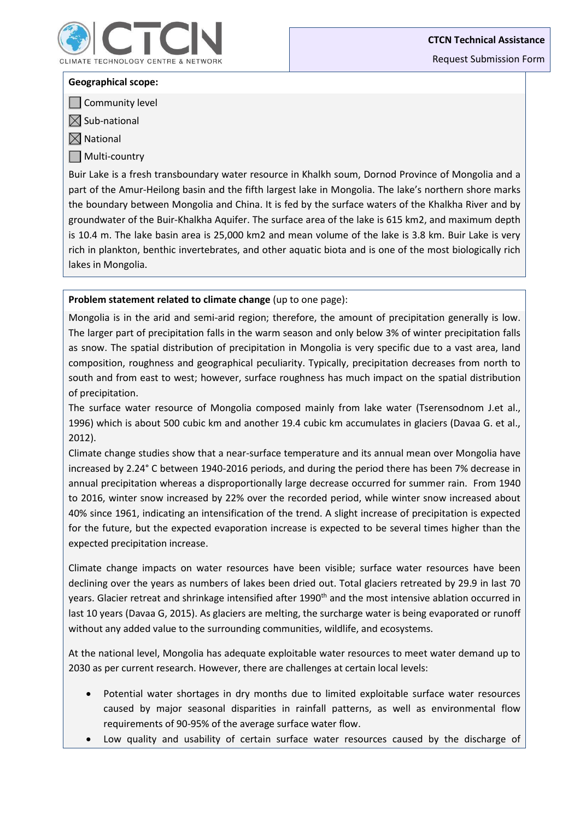

**CTCN Technical Assistance**

Request Submission Form

#### **Geographical scope:**

**Community level** 

 $\boxtimes$  Sub-national

 $\boxtimes$  National

Multi-country

Buir Lake is a fresh transboundary water resource in Khalkh soum, Dornod Province of Mongolia and a part of the Amur-Heilong basin and the fifth largest lake in Mongolia. The lake's northern shore marks the boundary between Mongolia and China. It is fed by the surface waters of the Khalkha River and by groundwater of the Buir-Khalkha Aquifer. The surface area of the lake is 615 km2, and maximum depth is 10.4 m. The lake basin area is 25,000 km2 and mean volume of the lake is 3.8 km. Buir Lake is very rich in plankton, benthic invertebrates, and other aquatic biota and is one of the most biologically rich lakes in Mongolia.

**Problem statement related to climate change** (up to one page):

Mongolia is in the arid and semi-arid region; therefore, the amount of precipitation generally is low. The larger part of precipitation falls in the warm season and only below 3% of winter precipitation falls as snow. The spatial distribution of precipitation in Mongolia is very specific due to a vast area, land composition, roughness and geographical peculiarity. Typically, precipitation decreases from north to south and from east to west; however, surface roughness has much impact on the spatial distribution of precipitation.

The surface water resource of Mongolia composed mainly from lake water (Tserensodnom J.et al., 1996) which is about 500 cubic km and another 19.4 cubic km accumulates in glaciers (Davaa G. et al., 2012).

Climate change studies show that a near-surface temperature and its annual mean over Mongolia have increased by 2.24° C between 1940-2016 periods, and during the period there has been 7% decrease in annual precipitation whereas a disproportionally large decrease occurred for summer rain. From 1940 to 2016, winter snow increased by 22% over the recorded period, while winter snow increased about 40% since 1961, indicating an intensification of the trend. A slight increase of precipitation is expected for the future, but the expected evaporation increase is expected to be several times higher than the expected precipitation increase.

Climate change impacts on water resources have been visible; surface water resources have been declining over the years as numbers of lakes been dried out. Total glaciers retreated by 29.9 in last 70 years. Glacier retreat and shrinkage intensified after 1990<sup>th</sup> and the most intensive ablation occurred in last 10 years (Davaa G, 2015). As glaciers are melting, the surcharge water is being evaporated or runoff without any added value to the surrounding communities, wildlife, and ecosystems.

At the national level, Mongolia has adequate exploitable water resources to meet water demand up to 2030 as per current research. However, there are challenges at certain local levels:

- Potential water shortages in dry months due to limited exploitable surface water resources caused by major seasonal disparities in rainfall patterns, as well as environmental flow requirements of 90-95% of the average surface water flow.
- Low quality and usability of certain surface water resources caused by the discharge of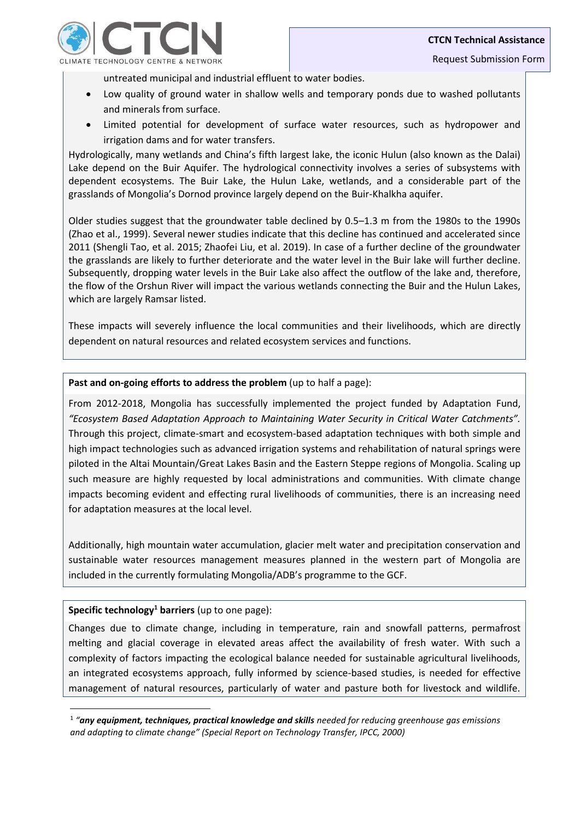

untreated municipal and industrial effluent to water bodies.

- Low quality of ground water in shallow wells and temporary ponds due to washed pollutants and minerals from surface.
- Limited potential for development of surface water resources, such as hydropower and irrigation dams and for water transfers.

Hydrologically, many wetlands and China's fifth largest lake, the iconic Hulun (also known as the Dalai) Lake depend on the Buir Aquifer. The hydrological connectivity involves a series of subsystems with dependent ecosystems. The Buir Lake, the Hulun Lake, wetlands, and a considerable part of the grasslands of Mongolia's Dornod province largely depend on the Buir-Khalkha aquifer.

Older studies suggest that the groundwater table declined by 0.5–1.3 m from the 1980s to the 1990s (Zhao et al., 1999). Several newer studies indicate that this decline has continued and accelerated since 2011 (Shengli Tao, et al. 2015; Zhaofei Liu, et al. 2019). In case of a further decline of the groundwater the grasslands are likely to further deteriorate and the water level in the Buir lake will further decline. Subsequently, dropping water levels in the Buir Lake also affect the outflow of the lake and, therefore, the flow of the Orshun River will impact the various wetlands connecting the Buir and the Hulun Lakes, which are largely Ramsar listed.

These impacts will severely influence the local communities and their livelihoods, which are directly dependent on natural resources and related ecosystem services and functions.

## Past and on-going efforts to address the problem (up to half a page):

From 2012-2018, Mongolia has successfully implemented the project funded by Adaptation Fund, *"Ecosystem Based Adaptation Approach to Maintaining Water Security in Critical Water Catchments".* Through this project, climate-smart and ecosystem-based adaptation techniques with both simple and high impact technologies such as advanced irrigation systems and rehabilitation of natural springs were piloted in the Altai Mountain/Great Lakes Basin and the Eastern Steppe regions of Mongolia. Scaling up such measure are highly requested by local administrations and communities. With climate change impacts becoming evident and effecting rural livelihoods of communities, there is an increasing need for adaptation measures at the local level.

Additionally, high mountain water accumulation, glacier melt water and precipitation conservation and sustainable water resources management measures planned in the western part of Mongolia are included in the currently formulating Mongolia/ADB's programme to the GCF.

#### **Specific technology<sup>1</sup> barriers** (up to one page):

**.** 

Changes due to climate change, including in temperature, rain and snowfall patterns, permafrost melting and glacial coverage in elevated areas affect the availability of fresh water. With such a complexity of factors impacting the ecological balance needed for sustainable agricultural livelihoods, an integrated ecosystems approach, fully informed by science-based studies, is needed for effective management of natural resources, particularly of water and pasture both for livestock and wildlife.

<sup>&</sup>lt;sup>1</sup> "any equipment, techniques, practical knowledge and skills needed for reducing greenhouse gas emissions *and adapting to climate change" (Special Report on Technology Transfer, IPCC, 2000)*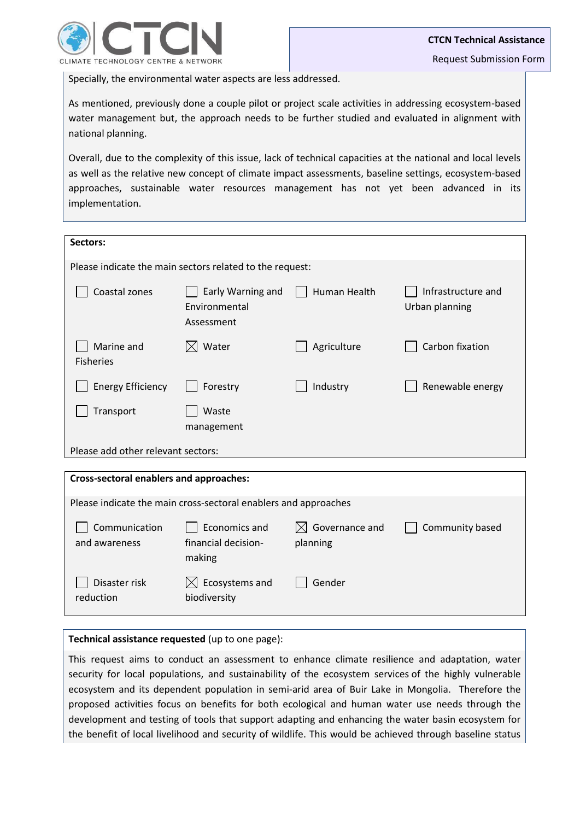

Specially, the environmental water aspects are less addressed.

As mentioned, previously done a couple pilot or project scale activities in addressing ecosystem-based water management but, the approach needs to be further studied and evaluated in alignment with national planning.

Overall, due to the complexity of this issue, lack of technical capacities at the national and local levels as well as the relative new concept of climate impact assessments, baseline settings, ecosystem-based approaches, sustainable water resources management has not yet been advanced in its implementation.

| Sectors:                                                 |                                                  |              |                                      |  |
|----------------------------------------------------------|--------------------------------------------------|--------------|--------------------------------------|--|
| Please indicate the main sectors related to the request: |                                                  |              |                                      |  |
| Coastal zones                                            | Early Warning and<br>Environmental<br>Assessment | Human Health | Infrastructure and<br>Urban planning |  |
| Marine and<br><b>Fisheries</b>                           | $\boxtimes$ Water                                | Agriculture  | Carbon fixation                      |  |
| <b>Energy Efficiency</b>                                 | Forestry                                         | Industry     | Renewable energy                     |  |
| Transport                                                | Waste<br>management                              |              |                                      |  |
| Please add other relevant sectors:                       |                                                  |              |                                      |  |
|                                                          |                                                  |              |                                      |  |
| Cross-sectoral enablers and approaches:                  |                                                  |              |                                      |  |

| Please indicate the main cross-sectoral enablers and approaches |                                                |                                        |                 |  |
|-----------------------------------------------------------------|------------------------------------------------|----------------------------------------|-----------------|--|
| Communication<br>and awareness                                  | Economics and<br>financial decision-<br>making | $\boxtimes$ Governance and<br>planning | Community based |  |
| Disaster risk<br>reduction                                      | $\bowtie$ Ecosystems and<br>biodiversity       | Gender                                 |                 |  |

**Technical assistance requested** (up to one page):

This request aims to conduct an assessment to enhance climate resilience and adaptation, water security for local populations, and sustainability of the ecosystem services of the highly vulnerable ecosystem and its dependent population in semi-arid area of Buir Lake in Mongolia. Therefore the proposed activities focus on benefits for both ecological and human water use needs through the development and testing of tools that support adapting and enhancing the water basin ecosystem for the benefit of local livelihood and security of wildlife. This would be achieved through baseline status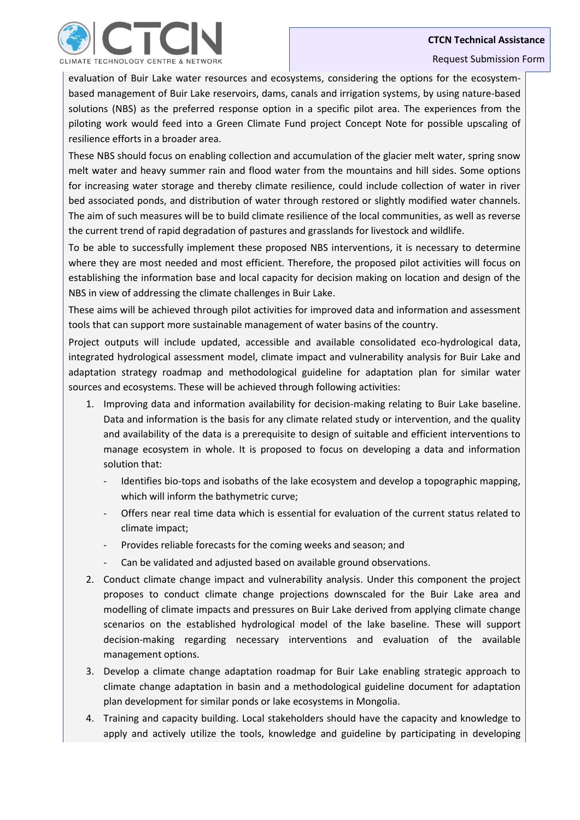### **CTCN Technical Assistance**



#### Request Submission Form

evaluation of Buir Lake water resources and ecosystems, considering the options for the ecosystembased management of Buir Lake reservoirs, dams, canals and irrigation systems, by using nature-based solutions (NBS) as the preferred response option in a specific pilot area. The experiences from the piloting work would feed into a Green Climate Fund project Concept Note for possible upscaling of resilience efforts in a broader area.

These NBS should focus on enabling collection and accumulation of the glacier melt water, spring snow melt water and heavy summer rain and flood water from the mountains and hill sides. Some options for increasing water storage and thereby climate resilience, could include collection of water in river bed associated ponds, and distribution of water through restored or slightly modified water channels. The aim of such measures will be to build climate resilience of the local communities, as well as reverse the current trend of rapid degradation of pastures and grasslands for livestock and wildlife.

To be able to successfully implement these proposed NBS interventions, it is necessary to determine where they are most needed and most efficient. Therefore, the proposed pilot activities will focus on establishing the information base and local capacity for decision making on location and design of the NBS in view of addressing the climate challenges in Buir Lake.

These aims will be achieved through pilot activities for improved data and information and assessment tools that can support more sustainable management of water basins of the country.

Project outputs will include updated, accessible and available consolidated eco-hydrological data, integrated hydrological assessment model, climate impact and vulnerability analysis for Buir Lake and adaptation strategy roadmap and methodological guideline for adaptation plan for similar water sources and ecosystems. These will be achieved through following activities:

- 1. Improving data and information availability for decision-making relating to Buir Lake baseline. Data and information is the basis for any climate related study or intervention, and the quality and availability of the data is a prerequisite to design of suitable and efficient interventions to manage ecosystem in whole. It is proposed to focus on developing a data and information solution that:
	- Identifies bio-tops and isobaths of the lake ecosystem and develop a topographic mapping, which will inform the bathymetric curve;
	- Offers near real time data which is essential for evaluation of the current status related to climate impact;
	- Provides reliable forecasts for the coming weeks and season; and
	- Can be validated and adjusted based on available ground observations.
- 2. Conduct climate change impact and vulnerability analysis. Under this component the project proposes to conduct climate change projections downscaled for the Buir Lake area and modelling of climate impacts and pressures on Buir Lake derived from applying climate change scenarios on the established hydrological model of the lake baseline. These will support decision-making regarding necessary interventions and evaluation of the available management options.
- 3. Develop a climate change adaptation roadmap for Buir Lake enabling strategic approach to climate change adaptation in basin and a methodological guideline document for adaptation plan development for similar ponds or lake ecosystems in Mongolia.
- 4. Training and capacity building. Local stakeholders should have the capacity and knowledge to apply and actively utilize the tools, knowledge and guideline by participating in developing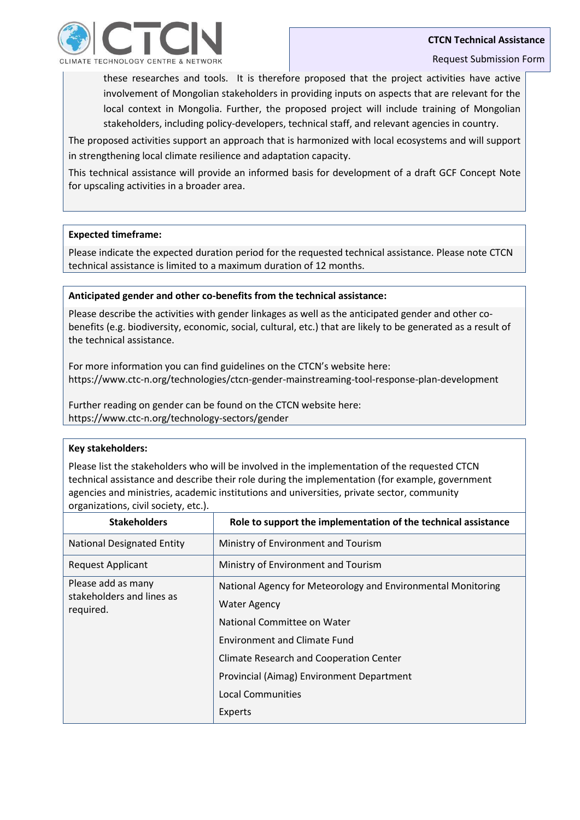

these researches and tools. It is therefore proposed that the project activities have active involvement of Mongolian stakeholders in providing inputs on aspects that are relevant for the local context in Mongolia. Further, the proposed project will include training of Mongolian stakeholders, including policy-developers, technical staff, and relevant agencies in country.

The proposed activities support an approach that is harmonized with local ecosystems and will support in strengthening local climate resilience and adaptation capacity.

This technical assistance will provide an informed basis for development of a draft GCF Concept Note for upscaling activities in a broader area.

### **Expected timeframe:**

Please indicate the expected duration period for the requested technical assistance. Please note CTCN technical assistance is limited to a maximum duration of 12 months.

## **Anticipated gender and other co-benefits from the technical assistance:**

Please describe the activities with gender linkages as well as the anticipated gender and other cobenefits (e.g. biodiversity, economic, social, cultural, etc.) that are likely to be generated as a result of the technical assistance.

For more information you can find guidelines on the CTCN's website here: https://www.ctc-n.org/technologies/ctcn-gender-mainstreaming-tool-response-plan-development

Further reading on gender can be found on the CTCN website here: https://www.ctc-n.org/technology-sectors/gender

#### **Key stakeholders:**

Please list the stakeholders who will be involved in the implementation of the requested CTCN technical assistance and describe their role during the implementation (for example, government agencies and ministries, academic institutions and universities, private sector, community organizations, civil society, etc.).

| <b>Stakeholders</b>                             | Role to support the implementation of the technical assistance |
|-------------------------------------------------|----------------------------------------------------------------|
| <b>National Designated Entity</b>               | Ministry of Environment and Tourism                            |
| <b>Request Applicant</b>                        | Ministry of Environment and Tourism                            |
| Please add as many<br>stakeholders and lines as | National Agency for Meteorology and Environmental Monitoring   |
| required.                                       | <b>Water Agency</b>                                            |
|                                                 | National Committee on Water                                    |
|                                                 | <b>Environment and Climate Fund</b>                            |
|                                                 | Climate Research and Cooperation Center                        |
|                                                 | Provincial (Aimag) Environment Department                      |
|                                                 | <b>Local Communities</b>                                       |
|                                                 | Experts                                                        |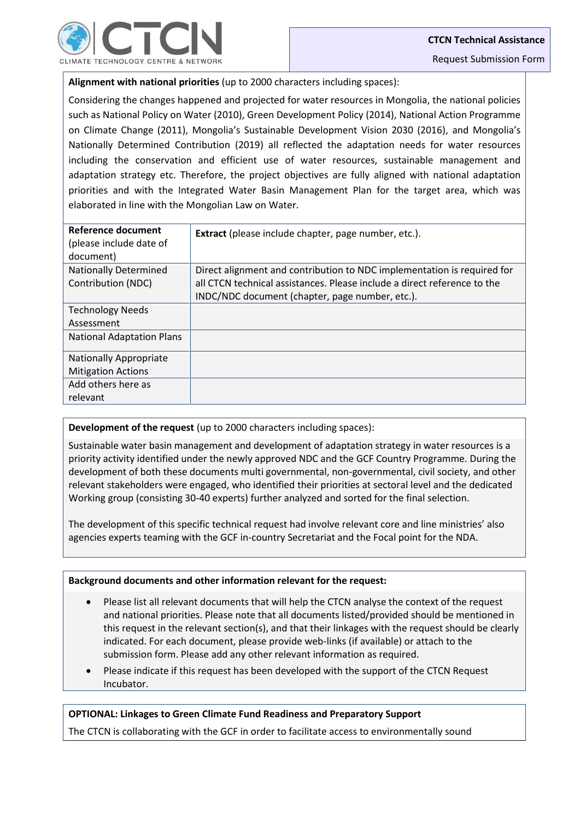**Alignment with national priorities** (up to 2000 characters including spaces):

Considering the changes happened and projected for water resources in Mongolia, the national policies such as National Policy on Water (2010), Green Development Policy (2014), National Action Programme on Climate Change (2011), Mongolia's Sustainable Development Vision 2030 (2016), and Mongolia's Nationally Determined Contribution (2019) all reflected the adaptation needs for water resources including the conservation and efficient use of water resources, sustainable management and adaptation strategy etc. Therefore, the project objectives are fully aligned with national adaptation priorities and with the Integrated Water Basin Management Plan for the target area, which was elaborated in line with the Mongolian Law on Water.

| Reference document<br>(please include date of<br>document) | <b>Extract</b> (please include chapter, page number, etc.).                                                                                         |
|------------------------------------------------------------|-----------------------------------------------------------------------------------------------------------------------------------------------------|
| <b>Nationally Determined</b><br>Contribution (NDC)         | Direct alignment and contribution to NDC implementation is required for<br>all CTCN technical assistances. Please include a direct reference to the |
|                                                            | INDC/NDC document (chapter, page number, etc.).                                                                                                     |
| <b>Technology Needs</b>                                    |                                                                                                                                                     |
| Assessment                                                 |                                                                                                                                                     |
| <b>National Adaptation Plans</b>                           |                                                                                                                                                     |
| <b>Nationally Appropriate</b>                              |                                                                                                                                                     |
| <b>Mitigation Actions</b>                                  |                                                                                                                                                     |
| Add others here as                                         |                                                                                                                                                     |
| relevant                                                   |                                                                                                                                                     |

**Development of the request** (up to 2000 characters including spaces):

Sustainable water basin management and development of adaptation strategy in water resources is a priority activity identified under the newly approved NDC and the GCF Country Programme. During the development of both these documents multi governmental, non-governmental, civil society, and other relevant stakeholders were engaged, who identified their priorities at sectoral level and the dedicated Working group (consisting 30-40 experts) further analyzed and sorted for the final selection.

The development of this specific technical request had involve relevant core and line ministries' also agencies experts teaming with the GCF in-country Secretariat and the Focal point for the NDA.

## **Background documents and other information relevant for the request:**

- Please list all relevant documents that will help the CTCN analyse the context of the request and national priorities. Please note that all documents listed/provided should be mentioned in this request in the relevant section(s), and that their linkages with the request should be clearly indicated. For each document, please provide web-links (if available) or attach to the submission form. Please add any other relevant information as required.
- Please indicate if this request has been developed with the support of the CTCN Request Incubator.

## **OPTIONAL: Linkages to Green Climate Fund Readiness and Preparatory Support**

The CTCN is collaborating with the GCF in order to facilitate access to environmentally sound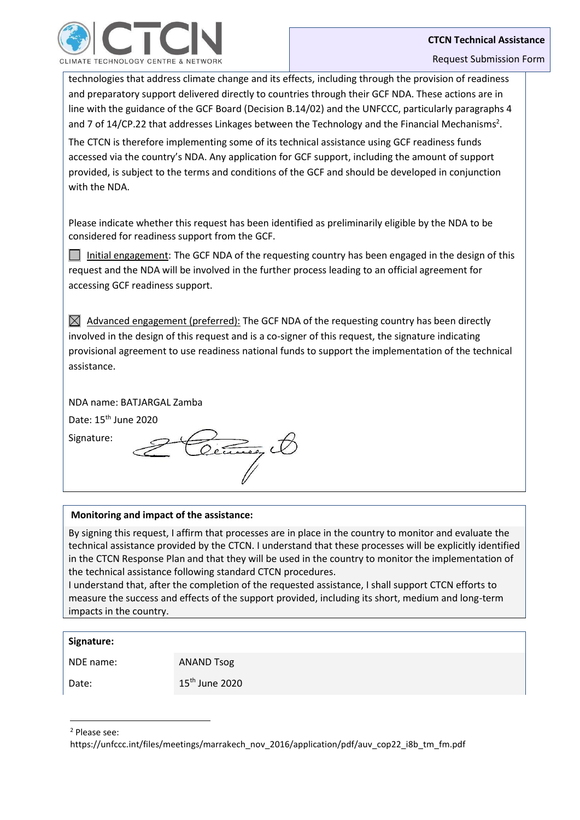

technologies that address climate change and its effects, including through the provision of readiness and preparatory support delivered directly to countries through their GCF NDA. These actions are in line with the guidance of the GCF Board (Decision B.14/02) and the UNFCCC, particularly paragraphs 4 and 7 of 14/CP.22 that addresses Linkages between the Technology and the Financial Mechanisms<sup>2</sup>. The CTCN is therefore implementing some of its technical assistance using GCF readiness funds accessed via the country's NDA. Any application for GCF support, including the amount of support provided, is subject to the terms and conditions of the GCF and should be developed in conjunction with the NDA.

Please indicate whether this request has been identified as preliminarily eligible by the NDA to be considered for readiness support from the GCF.

Initial engagement: The GCF NDA of the requesting country has been engaged in the design of this request and the NDA will be involved in the further process leading to an official agreement for accessing GCF readiness support.

 $\boxtimes$  Advanced engagement (preferred): The GCF NDA of the requesting country has been directly involved in the design of this request and is a co-signer of this request, the signature indicating provisional agreement to use readiness national funds to support the implementation of the technical assistance.

NDA name: BATJARGAL Zamba

Date: 15<sup>th</sup> June 2020

Signature:

# **Monitoring and impact of the assistance:**

By signing this request, I affirm that processes are in place in the country to monitor and evaluate the technical assistance provided by the CTCN. I understand that these processes will be explicitly identified in the CTCN Response Plan and that they will be used in the country to monitor the implementation of the technical assistance following standard CTCN procedures.

I understand that, after the completion of the requested assistance, I shall support CTCN efforts to measure the success and effects of the support provided, including its short, medium and long-term impacts in the country.

## **Signature:**

NDE name: ANAND Tsog

1

Date: 15<sup>th</sup> June 2020

<sup>2</sup> Please see:

https://unfccc.int/files/meetings/marrakech\_nov\_2016/application/pdf/auv\_cop22\_i8b\_tm\_fm.pdf